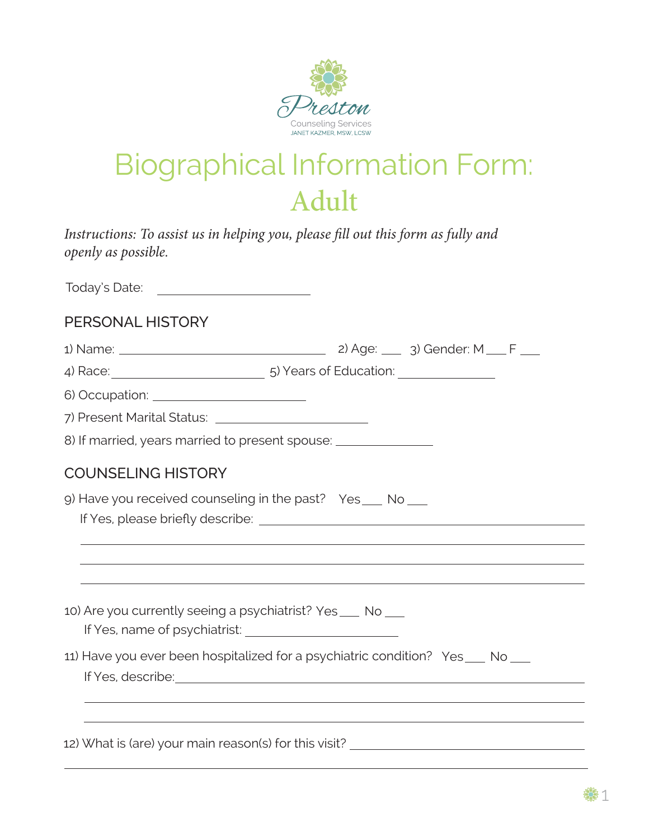

## Biographical Information Form: Adult

*Instructions: To assist us in helping you, please fill out this form as fully and openly as possible.*

1) Name: 2) Age: 3) Gender: M F 6) Occupation: 7) Present Marital Status: 8) If married, years married to present spouse: 9) Have you received counseling in the past? Yes \_\_\_ No 10) Are you currently seeing a psychiatrist? Yes\_\_\_ No 11) Have you ever been hospitalized for a psychiatric condition? Yes \_\_\_ No 12) What is (are) your main reason(s) for this visit? If Yes, please briefly describe: If Yes, name of psychiatrist: PERSONAL HISTORY COUNSELING HISTORY Today's Date: 4) Race: 5) Years of Education: If Yes, describe: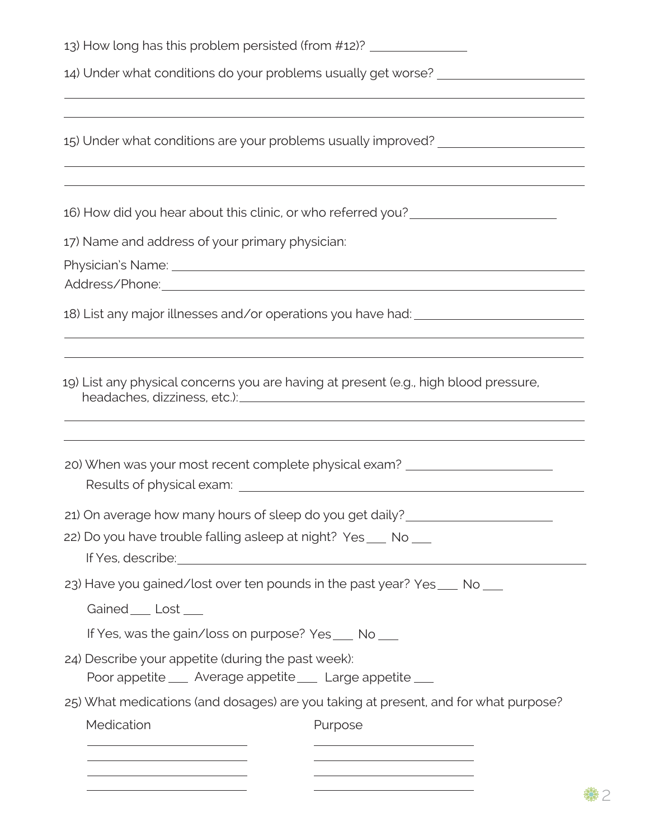| 13) How long has this problem persisted (from #12)? ____________________________                                                                                                                                                                                                                                                                                                                                                      |
|---------------------------------------------------------------------------------------------------------------------------------------------------------------------------------------------------------------------------------------------------------------------------------------------------------------------------------------------------------------------------------------------------------------------------------------|
| 14) Under what conditions do your problems usually get worse? __________________<br><u> 1989 - Johann Stoff, amerikansk politiker (d. 1989)</u>                                                                                                                                                                                                                                                                                       |
| 15) Under what conditions are your problems usually improved? __________________                                                                                                                                                                                                                                                                                                                                                      |
| 16) How did you hear about this clinic, or who referred you?<br><u>Letter don't</u>                                                                                                                                                                                                                                                                                                                                                   |
| 17) Name and address of your primary physician:                                                                                                                                                                                                                                                                                                                                                                                       |
|                                                                                                                                                                                                                                                                                                                                                                                                                                       |
| Address/Phone: 2008 and 2008 and 2008 and 2008 and 2008 and 2008 and 2008 and 2008 and 2008 and 200                                                                                                                                                                                                                                                                                                                                   |
| 18) List any major illnesses and/or operations you have had: ____________________                                                                                                                                                                                                                                                                                                                                                     |
| 19) List any physical concerns you are having at present (e.g., high blood pressure,<br>20) When was your most recent complete physical exam? __________________________                                                                                                                                                                                                                                                              |
|                                                                                                                                                                                                                                                                                                                                                                                                                                       |
| 21) On average how many hours of sleep do you get daily?<br><u>examples</u> and ally?<br>22) Do you have trouble falling asleep at night? Yes ___ No ___<br>If Yes, describe: <u>contact the set of the set of the set of the set of the set of the set of the set of the set of the set of the set of the set of the set of the set of the set of the set of the set of the set of the set </u>                                      |
| 23) Have you gained/lost over ten pounds in the past year? Yes ___ No ___                                                                                                                                                                                                                                                                                                                                                             |
| Gained ____ Lost ____                                                                                                                                                                                                                                                                                                                                                                                                                 |
| If Yes, was the gain/loss on purpose? Yes ___ No ___                                                                                                                                                                                                                                                                                                                                                                                  |
| 24) Describe your appetite (during the past week):<br>Poor appetite ____ Average appetite ____ Large appetite ___                                                                                                                                                                                                                                                                                                                     |
| 25) What medications (and dosages) are you taking at present, and for what purpose?                                                                                                                                                                                                                                                                                                                                                   |
| Medication<br>Purpose                                                                                                                                                                                                                                                                                                                                                                                                                 |
| <u> 1980 - Johann Stoff, deutscher Stoff, der Stoff, der Stoff, der Stoff, der Stoff, der Stoff, der Stoff, der S</u><br><u> 1989 - Johann Stein, mars an de Frankrik (f. 1989)</u><br><u> 1989 - Johann Stoff, deutscher Stoffen und der Stoffen und der Stoffen und der Stoffen und der Stoffen und der</u><br><u> 1989 - Johann Barn, mars ann an t-Amhain Aonaich an t-Aonaich an t-Aonaich ann an t-Aonaich ann an t-Aonaich</u> |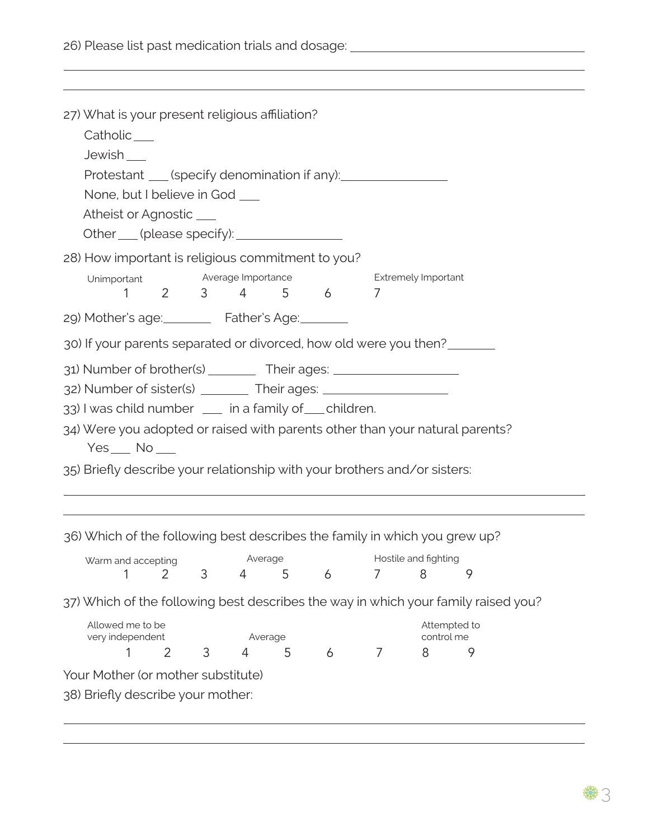26) Please list past medication trials and dosage:

| 27) What is your present religious affiliation?<br>Catholic___<br>Jewish<br>Protestant ____(specify denomination if any): __________________________________                                                                                                                                                                     |                |   |                |   |           |                |                            |                                                                                    |
|----------------------------------------------------------------------------------------------------------------------------------------------------------------------------------------------------------------------------------------------------------------------------------------------------------------------------------|----------------|---|----------------|---|-----------|----------------|----------------------------|------------------------------------------------------------------------------------|
| None, but I believe in God ___<br>Atheist or Agnostic ____<br>Other (please specify):                                                                                                                                                                                                                                            |                |   |                |   |           |                |                            |                                                                                    |
| 28) How important is religious commitment to you?<br>Unimportant Average Importance<br>1                                                                                                                                                                                                                                         |                |   |                |   | 2 3 4 5 6 | 7              | <b>Extremely Important</b> |                                                                                    |
| 29) Mother's age: Father's Age: 1986                                                                                                                                                                                                                                                                                             |                |   |                |   |           |                |                            |                                                                                    |
| 30) If your parents separated or divorced, how old were you then?                                                                                                                                                                                                                                                                |                |   |                |   |           |                |                            |                                                                                    |
| 31) Number of brother(s) _________ Their ages: _________________________________<br>32) Number of sister(s) ________ Their ages: ___________________________________<br>33) I was child number __ in a family of __ children.<br>34) Were you adopted or raised with parents other than your natural parents?<br>$Yes$ No $\_\_$ |                |   |                |   |           |                |                            |                                                                                    |
| 35) Briefly describe your relationship with your brothers and/or sisters:                                                                                                                                                                                                                                                        |                |   |                |   |           |                |                            |                                                                                    |
|                                                                                                                                                                                                                                                                                                                                  |                |   |                |   |           |                |                            |                                                                                    |
| 36) Which of the following best describes the family in which you grew up?                                                                                                                                                                                                                                                       |                |   |                |   |           |                |                            |                                                                                    |
| Warm and accepting                                                                                                                                                                                                                                                                                                               |                |   | Average        |   |           |                | Hostile and fighting       |                                                                                    |
|                                                                                                                                                                                                                                                                                                                                  | 2              | 3 | $\overline{4}$ | 5 | 6         | 7              | 8                          | 9                                                                                  |
|                                                                                                                                                                                                                                                                                                                                  |                |   |                |   |           |                |                            | 37) Which of the following best describes the way in which your family raised you? |
| Allowed me to be<br>very independent                                                                                                                                                                                                                                                                                             |                |   | Average        |   |           |                | Attempted to<br>control me |                                                                                    |
|                                                                                                                                                                                                                                                                                                                                  | $\overline{2}$ | 3 | 4              | 5 | 6         | $\overline{7}$ | 8                          | 9                                                                                  |
| Your Mother (or mother substitute)                                                                                                                                                                                                                                                                                               |                |   |                |   |           |                |                            |                                                                                    |

and the control of the control of the control of the control of the control of the control of the control of the

38) Briefly describe your mother: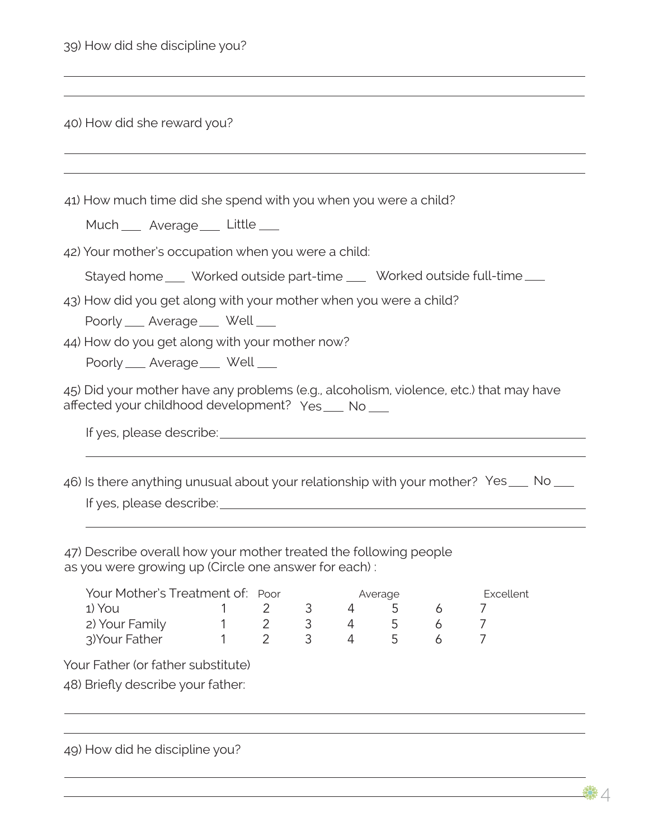| 39) How did she discipline you? |  |  |  |
|---------------------------------|--|--|--|
|                                 |  |  |  |

| 40) How did she reward you? |  |
|-----------------------------|--|
|-----------------------------|--|

41) How much time did she spend with you when you were a child?

Much \_\_ Average \_\_ Little

42) Your mother's occupation when you were a child:

Stayed home Worked outside part-time Worked outside full-time

43) How did you get along with your mother when you were a child?

Poorly \_\_ Average \_\_ Well

44) How do you get along with your mother now?

Poorly \_\_ Average \_\_ Well

45) Did your mother have any problems (e.g., alcoholism, violence, etc.) that may have affected your childhood development? Yes No

|  | If yes, please describe: |
|--|--------------------------|
|  |                          |

If yes, please describe: 46) Is there anything unusual about your relationship with your mother? Yes No

47) Describe overall how your mother treated the following people as you were growing up (Circle one answer for each) :

| Your Mother's Treatment of: Poor |  |  | Average | Excellent |  |
|----------------------------------|--|--|---------|-----------|--|
| 1) You                           |  |  |         |           |  |
| 2) Your Family                   |  |  |         |           |  |
| 3) Your Father                   |  |  |         |           |  |

Your Father (or father substitute)

48) Briefly describe your father:

| 49) How did he discipline you? |  |  |  |  |
|--------------------------------|--|--|--|--|
|--------------------------------|--|--|--|--|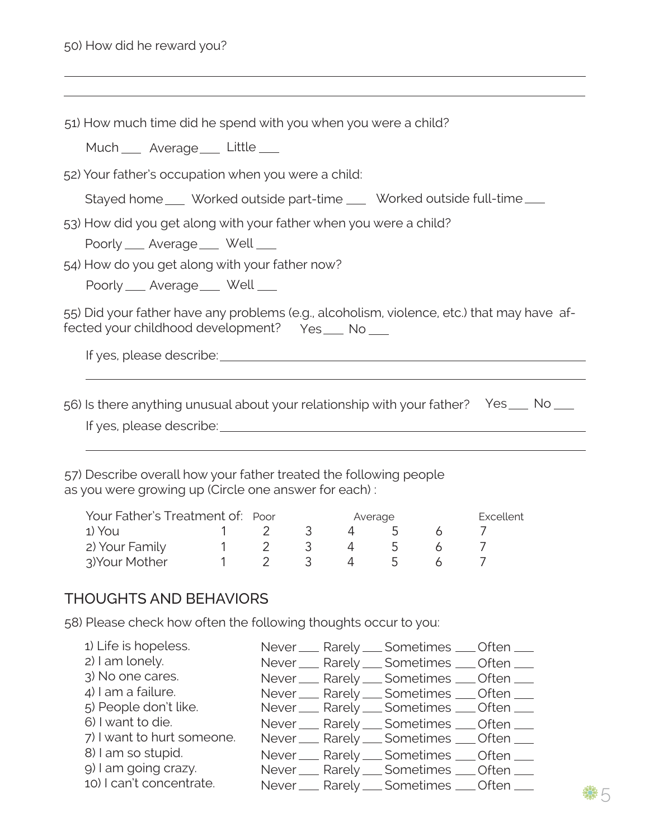51) How much time did he spend with you when you were a child?

Much Average Little

52) Your father's occupation when you were a child:

Stayed home Worked outside part-time Worked outside full-time

53) How did you get along with your father when you were a child?

Poorly \_\_ Average \_\_ Well

54) How do you get along with your father now?

Poorly \_\_ Average \_\_ Well

55) Did your father have any problems (e.g., alcoholism, violence, etc.) that may have affected your childhood development? Yes No

If yes, please describe: <u>contained and a set of yes</u> please describe:

If yes, please describe: 56) Is there anything unusual about your relationship with your father? Yes No

57) Describe overall how your father treated the following people as you were growing up (Circle one answer for each) :

| Your Father's Treatment of: Poor |  |  | Average |  |  |  | Excellent |  |
|----------------------------------|--|--|---------|--|--|--|-----------|--|
| 1) You                           |  |  |         |  |  |  |           |  |
| 2) Your Family                   |  |  |         |  |  |  |           |  |
| 3) Your Mother                   |  |  |         |  |  |  |           |  |

## THOUGHTS AND BEHAVIORS

58) Please check how often the following thoughts occur to you:

| 1) Life is hopeless.       |  | Never ___ Rarely ___ Sometimes ___ Often ___                                             |  |
|----------------------------|--|------------------------------------------------------------------------------------------|--|
| 2) I am lonely.            |  | Never __ Rarely __ Sometimes __ Often __                                                 |  |
| 3) No one cares.           |  | Never ___ Rarely ___ Sometimes ___ Often ___                                             |  |
| 4) I am a failure.         |  | Never __ Rarely __ Sometimes __ Often __                                                 |  |
| 5) People don't like.      |  | Never __ Rarely __ Sometimes __ Often __                                                 |  |
|                            |  |                                                                                          |  |
| 6) I want to die.          |  | Never ___ Rarely ___ Sometimes ___ Often ___                                             |  |
| 7) I want to hurt someone. |  | Never __ Rarely __ Sometimes __ Often __                                                 |  |
| 8) I am so stupid.         |  |                                                                                          |  |
| 9) I am going crazy.       |  | Never __ Rarely __ Sometimes __ Often __<br>Never ___ Rarely ___ Sometimes ___ Often ___ |  |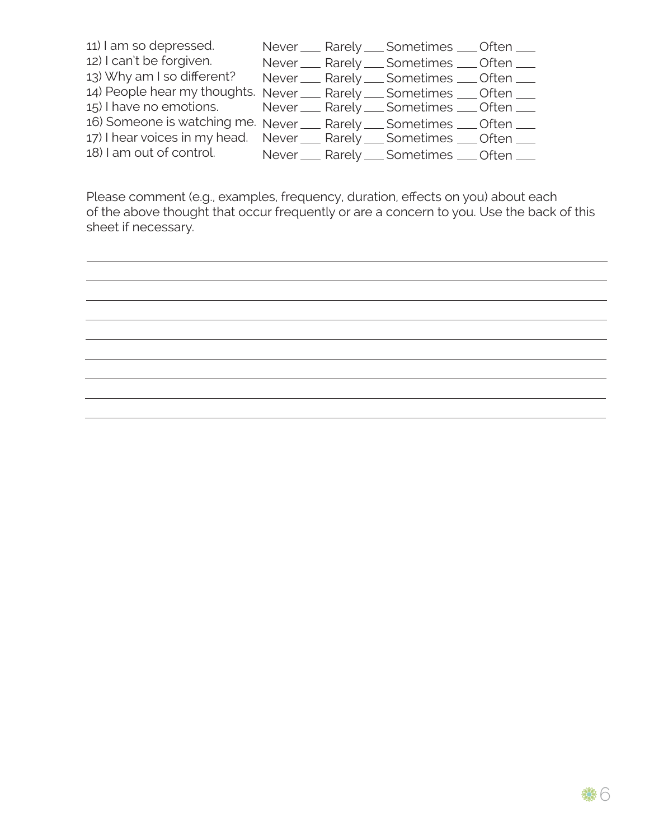| 11) I am so depressed.                                                 |  | Never ___ Rarely ___ Sometimes ___ Often ___ |  |
|------------------------------------------------------------------------|--|----------------------------------------------|--|
| 12) I can't be forgiven.                                               |  | Never ___ Rarely ___ Sometimes ___ Often ___ |  |
| 13) Why am I so different?                                             |  | Never ___ Rarely ___ Sometimes ___ Often ___ |  |
| 14) People hear my thoughts. Never __ Rarely __ Sometimes __ Often __  |  |                                              |  |
| 15) I have no emotions.                                                |  | Never ___ Rarely ___ Sometimes ___ Often ___ |  |
| 16) Someone is watching me. Never __ Rarely __ Sometimes __ Often __   |  |                                              |  |
| 17) I hear voices in my head. Never __ Rarely __ Sometimes __ Often __ |  |                                              |  |
| 18) I am out of control.                                               |  | Never ___ Rarely ___ Sometimes ___ Often ___ |  |

Please comment (e.g., examples, frequency, duration, effects on you) about each of the above thought that occur frequently or are a concern to you. Use the back of this sheet if necessary.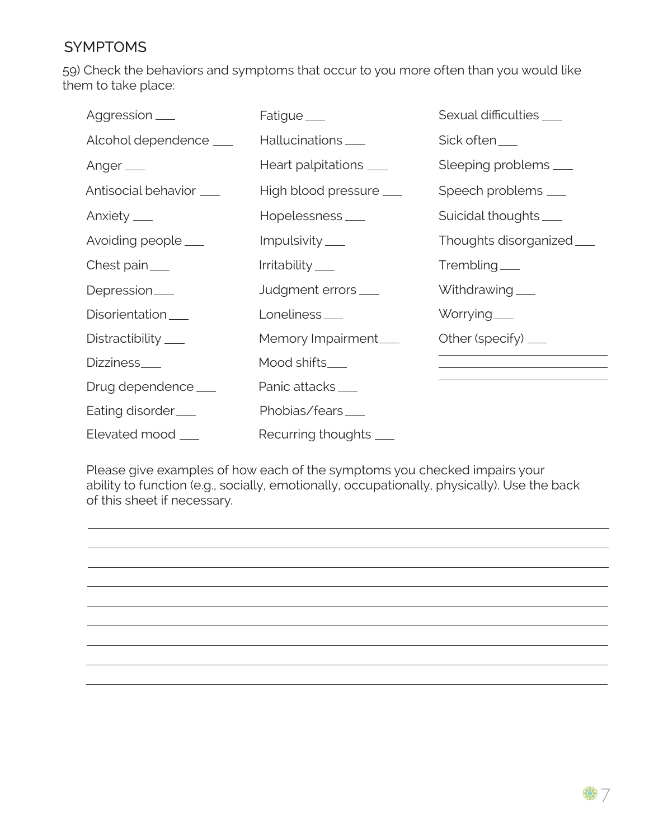## SYMPTOMS

59) Check the behaviors and symptoms that occur to you more often than you would like them to take place:

| Aggression <sub>—</sub>  | Fatigue ____                 | Sexual difficulties ____                                                                  |
|--------------------------|------------------------------|-------------------------------------------------------------------------------------------|
| Alcohol dependence ___   | Hallucinations ____          | Sick often__                                                                              |
| Anger $\_\_$             | Heart palpitations ___       | Sleeping problems                                                                         |
| Antisocial behavior ____ | High blood pressure ____     | Speech problems ____                                                                      |
| Anxiety $\_\_$           | Hopelessness <sub>____</sub> | Suicidal thoughts ___                                                                     |
| Avoiding people ___      | Impulsivity ___              | Thoughts disorganized_                                                                    |
| Chest pain $\_\_$        | Irritability____             | $Trembling_\_$                                                                            |
| Depression <sub>—</sub>  | Judgment errors ___          | Withdrawing ___                                                                           |
| Disorientation           | Loneliness <sub>—</sub>      | Worrying____                                                                              |
| Distractibility ____     | Memory Impairment___         | Other (specify) $\_\_\_\$                                                                 |
| Dizziness___             | Mood shifts___               | the control of the control of the control of the control of the control of the control of |
| Drug dependence ____     | Panic attacks_               |                                                                                           |
| Eating disorder          | Phobias/fears_               |                                                                                           |
| Elevated mood ___        | Recurring thoughts ___       |                                                                                           |

Please give examples of how each of the symptoms you checked impairs your ability to function (e.g., socially, emotionally, occupationally, physically). Use the back of this sheet if necessary.